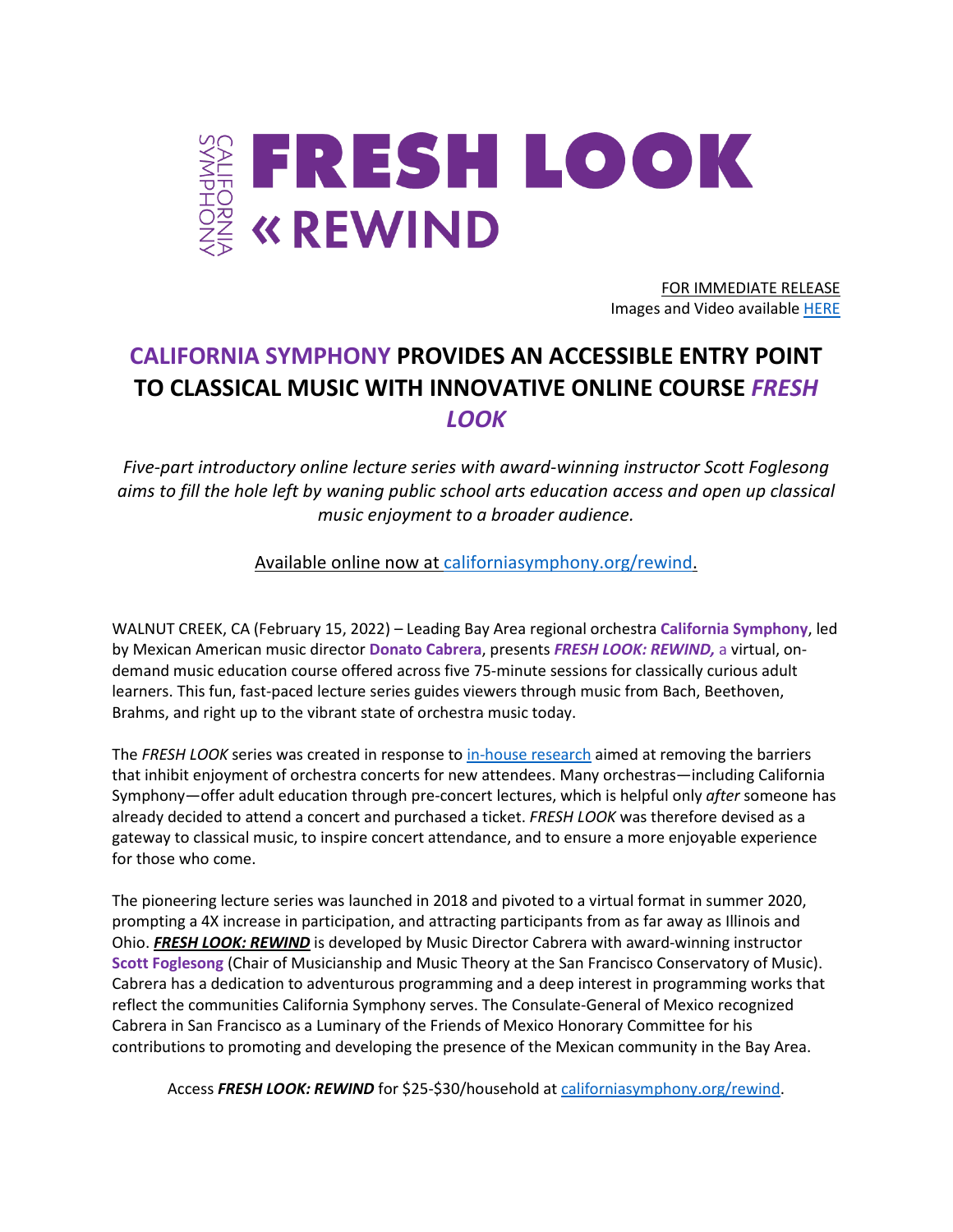

FOR IMMEDIATE RELEASE Images and Video availabl[e HERE](https://www.dropbox.com/sh/zig1hbpwzy9k7u5/AAD9c4qMWJrVl2LGZ5mGkdKea?dl=0)

# **CALIFORNIA SYMPHONY PROVIDES AN ACCESSIBLE ENTRY POINT TO CLASSICAL MUSIC WITH INNOVATIVE ONLINE COURSE** *FRESH LOOK*

*Five-part introductory online lecture series with award-winning instructor Scott Foglesong aims to fill the hole left by waning public school arts education access and open up classical music enjoyment to a broader audience.* 

Available online now at [californiasymphony.org/rewind.](https://www.californiasymphony.org/rewind)

WALNUT CREEK, CA (February 15, 2022) – Leading Bay Area regional orchestra **California Symphony**, led by Mexican American music director **Donato Cabrera**, presents *FRESH LOOK: REWIND,* a virtual, ondemand music education course offered across five 75-minute sessions for classically curious adult learners. This fun, fast-paced lecture series guides viewers through music from Bach, Beethoven, Brahms, and right up to the vibrant state of orchestra music today.

The *FRESH LOOK* series was created in response to [in-house research](https://medium.com/@AubreyBergauer/orchestra-x-the-results-ec12e48f28fb) aimed at removing the barriers that inhibit enjoyment of orchestra concerts for new attendees. Many orchestras—including California Symphony—offer adult education through pre-concert lectures, which is helpful only *after* someone has already decided to attend a concert and purchased a ticket. *FRESH LOOK* was therefore devised as a gateway to classical music, to inspire concert attendance, and to ensure a more enjoyable experience for those who come.

The pioneering lecture series was launched in 2018 and pivoted to a virtual format in summer 2020, prompting a 4X increase in participation, and attracting participants from as far away as Illinois and Ohio. *FRESH LOOK: REWIND* is developed by Music Director Cabrera with award-winning instructor **Scott Foglesong** (Chair of Musicianship and Music Theory at the San Francisco Conservatory of Music). Cabrera has a dedication to adventurous programming and a deep interest in programming works that reflect the communities California Symphony serves. The Consulate-General of Mexico recognized Cabrera in San Francisco as a Luminary of the Friends of Mexico Honorary Committee for his contributions to promoting and developing the presence of the Mexican community in the Bay Area.

Access **FRESH LOOK: REWIND** for \$25-\$30/household a[t californiasymphony.org/rewind.](https://www.californiasymphony.org/rewind)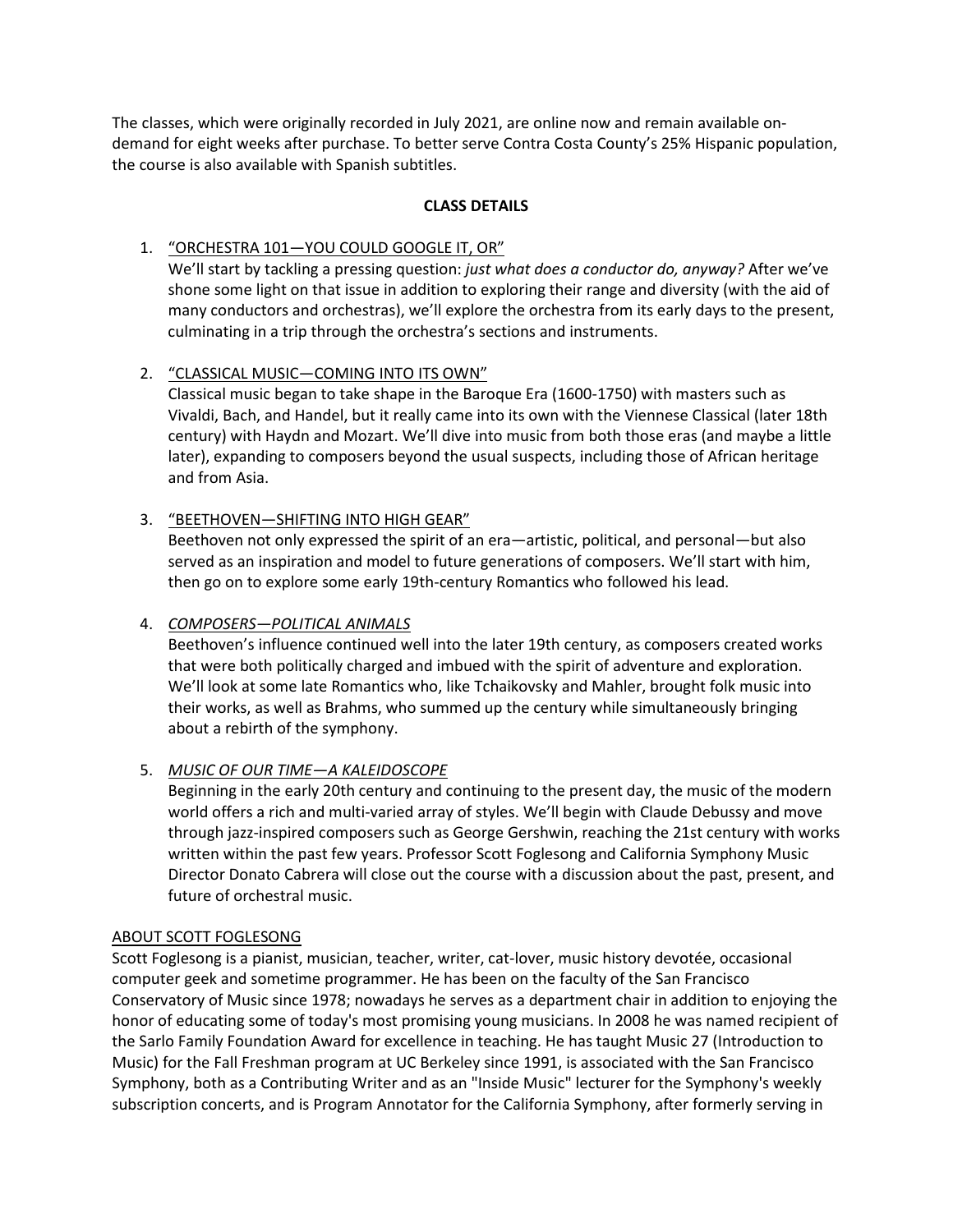The classes, which were originally recorded in July 2021, are online now and remain available ondemand for eight weeks after purchase. To better serve Contra Costa County's 25% Hispanic population, the course is also available with Spanish subtitles.

# **CLASS DETAILS**

# 1. "ORCHESTRA 101—YOU COULD GOOGLE IT, OR"

We'll start by tackling a pressing question: *just what does a conductor do, anyway?* After we've shone some light on that issue in addition to exploring their range and diversity (with the aid of many conductors and orchestras), we'll explore the orchestra from its early days to the present, culminating in a trip through the orchestra's sections and instruments.

# 2. "CLASSICAL MUSIC—COMING INTO ITS OWN"

Classical music began to take shape in the Baroque Era (1600-1750) with masters such as Vivaldi, Bach, and Handel, but it really came into its own with the Viennese Classical (later 18th century) with Haydn and Mozart. We'll dive into music from both those eras (and maybe a little later), expanding to composers beyond the usual suspects, including those of African heritage and from Asia.

# 3. "BEETHOVEN—SHIFTING INTO HIGH GEAR"

Beethoven not only expressed the spirit of an era—artistic, political, and personal—but also served as an inspiration and model to future generations of composers. We'll start with him, then go on to explore some early 19th-century Romantics who followed his lead.

## 4. *COMPOSERS—POLITICAL ANIMALS*

Beethoven's influence continued well into the later 19th century, as composers created works that were both politically charged and imbued with the spirit of adventure and exploration. We'll look at some late Romantics who, like Tchaikovsky and Mahler, brought folk music into their works, as well as Brahms, who summed up the century while simultaneously bringing about a rebirth of the symphony.

### 5. *MUSIC OF OUR TIME—A KALEIDOSCOPE*

Beginning in the early 20th century and continuing to the present day, the music of the modern world offers a rich and multi-varied array of styles. We'll begin with Claude Debussy and move through jazz-inspired composers such as George Gershwin, reaching the 21st century with works written within the past few years. Professor Scott Foglesong and California Symphony Music Director Donato Cabrera will close out the course with a discussion about the past, present, and future of orchestral music.

### ABOUT SCOTT FOGLESONG

Scott Foglesong is a pianist, musician, teacher, writer, cat-lover, music history devotée, occasional computer geek and sometime programmer. He has been on the faculty of the San Francisco Conservatory of Music since 1978; nowadays he serves as a department chair in addition to enjoying the honor of educating some of today's most promising young musicians. In 2008 he was named recipient of the Sarlo Family Foundation Award for excellence in teaching. He has taught Music 27 (Introduction to Music) for the Fall Freshman program at UC Berkeley since 1991, is associated with the San Francisco Symphony, both as a Contributing Writer and as an "Inside Music" lecturer for the Symphony's weekly subscription concerts, and is Program Annotator for the California Symphony, after formerly serving in